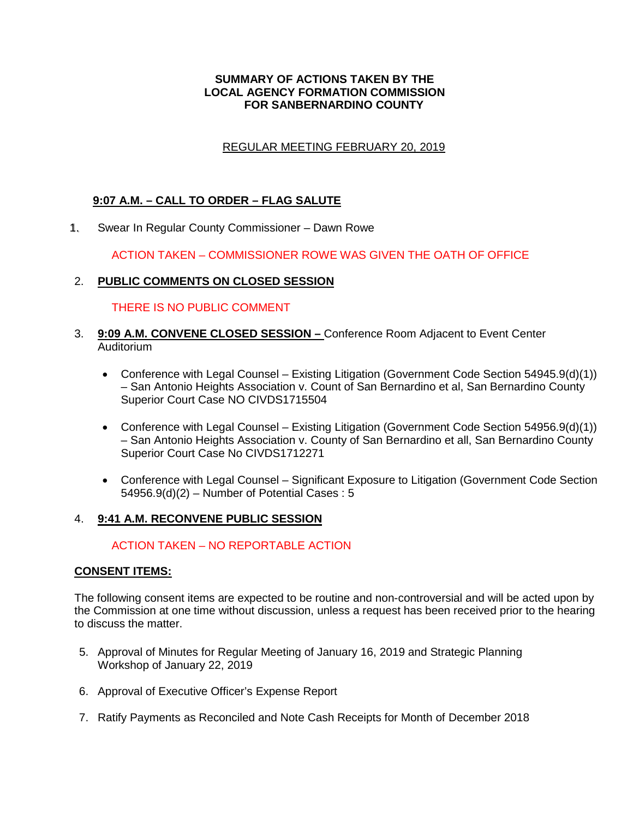#### **SUMMARY OF ACTIONS TAKEN BY THE LOCAL AGENCY FORMATION COMMISSION FOR SANBERNARDINO COUNTY**

### REGULAR MEETING FEBRUARY 20, 2019

### **9:07 A.M. – CALL TO ORDER – FLAG SALUTE**

Swear In Regular County Commissioner – Dawn Rowe 1.

ACTION TAKEN – COMMISSIONER ROWE WAS GIVEN THE OATH OF OFFICE

### 2. **PUBLIC COMMENTS ON CLOSED SESSION**

#### THERE IS NO PUBLIC COMMENT

- 3. **9:09 A.M. CONVENE CLOSED SESSION** Conference Room Adjacent to Event Center Auditorium
	- Conference with Legal Counsel Existing Litigation (Government Code Section 54945.9(d)(1)) – San Antonio Heights Association v. Count of San Bernardino et al, San Bernardino County Superior Court Case NO CIVDS1715504
	- Conference with Legal Counsel Existing Litigation (Government Code Section 54956.9(d)(1)) – San Antonio Heights Association v. County of San Bernardino et all, San Bernardino County Superior Court Case No CIVDS1712271
	- Conference with Legal Counsel Significant Exposure to Litigation (Government Code Section 54956.9(d)(2) – Number of Potential Cases : 5

### 4. **9:41 A.M. RECONVENE PUBLIC SESSION**

### ACTION TAKEN – NO REPORTABLE ACTION

### **CONSENT ITEMS:**

The following consent items are expected to be routine and non-controversial and will be acted upon by the Commission at one time without discussion, unless a request has been received prior to the hearing to discuss the matter.

- 5. Approval of Minutes for Regular Meeting of January 16, 2019 and Strategic Planning Workshop of January 22, 2019
- 6. Approval of Executive Officer's Expense Report
- 7. Ratify Payments as Reconciled and Note Cash Receipts for Month of December 2018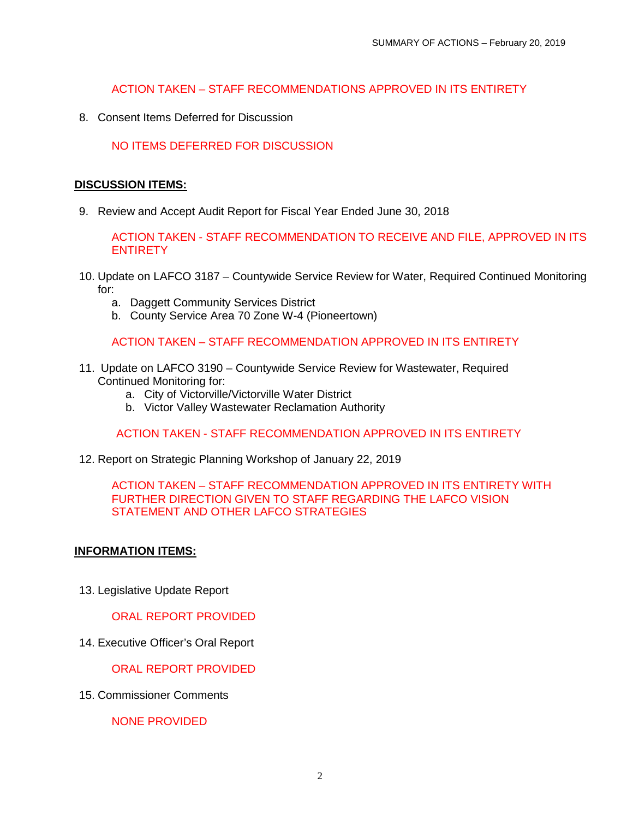### ACTION TAKEN – STAFF RECOMMENDATIONS APPROVED IN ITS ENTIRETY

8. Consent Items Deferred for Discussion

## NO ITEMS DEFERRED FOR DISCUSSION

#### **DISCUSSION ITEMS:**

9. Review and Accept Audit Report for Fiscal Year Ended June 30, 2018

ACTION TAKEN - STAFF RECOMMENDATION TO RECEIVE AND FILE, APPROVED IN ITS **ENTIRETY** 

- 10. Update on LAFCO 3187 Countywide Service Review for Water, Required Continued Monitoring for:
	- a. Daggett Community Services District
	- b. County Service Area 70 Zone W-4 (Pioneertown)

# ACTION TAKEN – STAFF RECOMMENDATION APPROVED IN ITS ENTIRETY

- 11. Update on LAFCO 3190 Countywide Service Review for Wastewater, Required Continued Monitoring for:
	- a. City of Victorville/Victorville Water District
	- b. Victor Valley Wastewater Reclamation Authority

ACTION TAKEN - STAFF RECOMMENDATION APPROVED IN ITS ENTIRETY

12. Report on Strategic Planning Workshop of January 22, 2019

### ACTION TAKEN – STAFF RECOMMENDATION APPROVED IN ITS ENTIRETY WITH FURTHER DIRECTION GIVEN TO STAFF REGARDING THE LAFCO VISION STATEMENT AND OTHER LAFCO STRATEGIES

### **INFORMATION ITEMS:**

13. Legislative Update Report

ORAL REPORT PROVIDED

14. Executive Officer's Oral Report

ORAL REPORT PROVIDED

15. Commissioner Comments

NONE PROVIDED